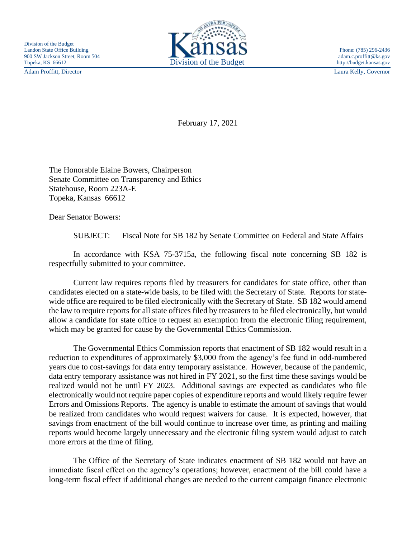Adam Proffitt, Director Laura Kelly, Governor



February 17, 2021

The Honorable Elaine Bowers, Chairperson Senate Committee on Transparency and Ethics Statehouse, Room 223A-E Topeka, Kansas 66612

Dear Senator Bowers:

SUBJECT: Fiscal Note for SB 182 by Senate Committee on Federal and State Affairs

In accordance with KSA 75-3715a, the following fiscal note concerning SB 182 is respectfully submitted to your committee.

Current law requires reports filed by treasurers for candidates for state office, other than candidates elected on a state-wide basis, to be filed with the Secretary of State. Reports for statewide office are required to be filed electronically with the Secretary of State. SB 182 would amend the law to require reports for all state offices filed by treasurers to be filed electronically, but would allow a candidate for state office to request an exemption from the electronic filing requirement, which may be granted for cause by the Governmental Ethics Commission.

The Governmental Ethics Commission reports that enactment of SB 182 would result in a reduction to expenditures of approximately \$3,000 from the agency's fee fund in odd-numbered years due to cost-savings for data entry temporary assistance. However, because of the pandemic, data entry temporary assistance was not hired in FY 2021, so the first time these savings would be realized would not be until FY 2023. Additional savings are expected as candidates who file electronically would not require paper copies of expenditure reports and would likely require fewer Errors and Omissions Reports. The agency is unable to estimate the amount of savings that would be realized from candidates who would request waivers for cause. It is expected, however, that savings from enactment of the bill would continue to increase over time, as printing and mailing reports would become largely unnecessary and the electronic filing system would adjust to catch more errors at the time of filing.

The Office of the Secretary of State indicates enactment of SB 182 would not have an immediate fiscal effect on the agency's operations; however, enactment of the bill could have a long-term fiscal effect if additional changes are needed to the current campaign finance electronic